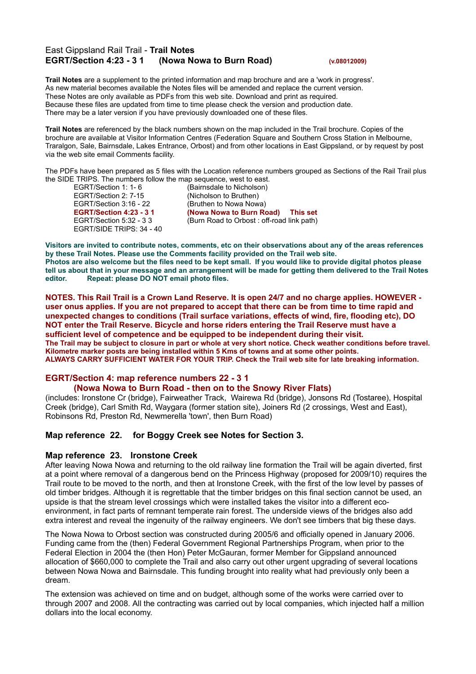# East Gippsland Rail Trail - **Trail Notes EGRT/Section 4:23 - 3 1 (Nowa Nowa to Burn Road) (v.08012009)**

**Trail Notes** are a supplement to the printed information and map brochure and are a 'work in progress'. As new material becomes available the Notes files will be amended and replace the current version. These Notes are only available as PDFs from this web site. Download and print as required. Because these files are updated from time to time please check the version and production date. There may be a later version if you have previously downloaded one of these files.

**Trail Notes** are referenced by the black numbers shown on the map included in the Trail brochure. Copies of the brochure are available at Visitor Information Centres (Federation Square and Southern Cross Station in Melbourne, Traralgon, Sale, Bairnsdale, Lakes Entrance, Orbost) and from other locations in East Gippsland, or by request by post via the web site email Comments facility.

The PDFs have been prepared as 5 files with the Location reference numbers grouped as Sections of the Rail Trail plus the SIDE TRIPS. The numbers follow the map sequence, west to east.<br>EGRT/Section 1: 1- 6 (Bairnsdale to Nicholson)

EGRT/Section 2: 7-15 (Nicholson to Bruthen) EGRT/Section 3:16 - 22 (Bruthen to Nowa Nowa) EGRT/SIDE TRIPS: 34 - 40

(Bairnsdale to Nicholson) **EGRT/Section 4:23 - 3 1 (Nowa Nowa to Burn Road) This set** EGRT/Section 5:32 - 3 3 (Burn Road to Orbost : off-road link path)

Visitors are invited to contribute notes, comments, etc on their observations about any of the areas references **by these Trail Notes. Please use the Comments facility provided on the Trail web site.** Photos are also welcome but the files need to be kept small. If you would like to provide digital photos please tell us about that in your message and an arrangement will be made for getting them delivered to the Trail Notes **editor. Repeat: please DO NOT email photo files.**

NOTES. This Rail Trail is a Crown Land Reserve. It is open 24/7 and no charge applies. HOWEVER user onus applies. If you are not prepared to accept that there can be from time to time rapid and **unexpected changes to conditions (Trail surface variations, effects of wind, fire, flooding etc), DO NOT enter the Trail Reserve. Bicycle and horse riders entering the Trail Reserve must have a sufficient level of competence and be equipped to be independent during their visit.** The Trail may be subject to closure in part or whole at very short notice. Check weather conditions before travel. **Kilometre marker posts are being installed within 5 Kms of towns and at some other points. ALWAYS CARRY SUFFICIENT WATER FOR YOUR TRIP. Check the Trail web site for late breaking information.**

## **EGRT/Section 4: map reference numbers 22 - 3 1**

## **(Nowa Nowa to Burn Road - then on to the Snowy River Flats)**

(includes: Ironstone Cr (bridge), Fairweather Track, Wairewa Rd (bridge), Jonsons Rd (Tostaree), Hospital Creek (bridge), Carl Smith Rd, Waygara (former station site), Joiners Rd (2 crossings, West and East), Robinsons Rd, Preston Rd, Newmerella 'town', then Burn Road)

## **Map reference 22. for Boggy Creek see Notes for Section 3.**

## **Map reference 23. Ironstone Creek**

After leaving Nowa Nowa and returning to the old railway line formation the Trail will be again diverted, first at a point where removal of a dangerous bend on the Princess Highway (proposed for 2009/10) requires the Trail route to be moved to the north, and then at Ironstone Creek, with the first of the low level by passes of old timber bridges. Although it is regrettable that the timber bridges on this final section cannot be used, an upside is that the stream level crossings which were installed takes the visitor into a different ecoenvironment, in fact parts of remnant temperate rain forest. The underside views of the bridges also add extra interest and reveal the ingenuity of the railway engineers. We don't see timbers that big these days.

The Nowa Nowa to Orbost section was constructed during 2005/6 and officially opened in January 2006. Funding came from the (then) Federal Government Regional Partnerships Program, when prior to the Federal Election in 2004 the (then Hon) Peter McGauran, former Member for Gippsland announced allocation of \$660,000 to complete the Trail and also carry out other urgent upgrading of several locations between Nowa Nowa and Bairnsdale. This funding brought into reality what had previously only been a dream.

The extension was achieved on time and on budget, although some of the works were carried over to through 2007 and 2008. All the contracting was carried out by local companies, which injected half a million dollars into the local economy.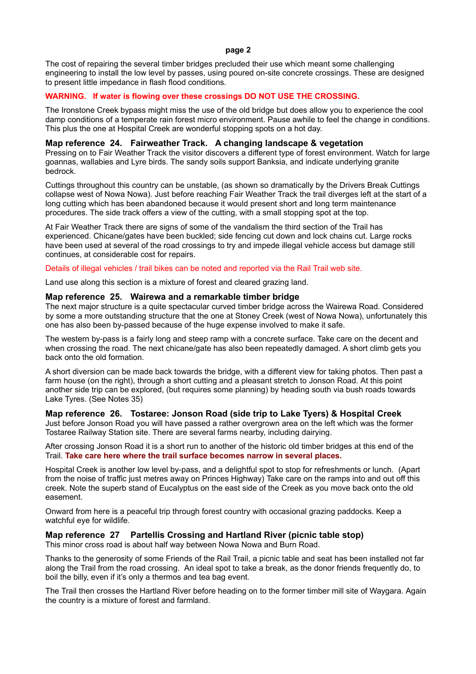#### **page 2**

The cost of repairing the several timber bridges precluded their use which meant some challenging engineering to install the low level by passes, using poured on-site concrete crossings. These are designed to present little impedance in flash flood conditions.

## **WARNING. If water is flowing over these crossings DO NOT USE THE CROSSING.**

The Ironstone Creek bypass might miss the use of the old bridge but does allow you to experience the cool damp conditions of a temperate rain forest micro environment. Pause awhile to feel the change in conditions. This plus the one at Hospital Creek are wonderful stopping spots on a hot day.

## **Map reference 24. Fairweather Track. A changing landscape & vegetation**

Pressing on to Fair Weather Track the visitor discovers a different type of forest environment. Watch for large goannas, wallabies and Lyre birds. The sandy soils support Banksia, and indicate underlying granite bedrock.

Cuttings throughout this country can be unstable, (as shown so dramatically by the Drivers Break Cuttings collapse west of Nowa Nowa). Just before reaching Fair Weather Track the trail diverges left at the start of a long cutting which has been abandoned because it would present short and long term maintenance procedures. The side track offers a view of the cutting, with a small stopping spot at the top.

At Fair Weather Track there are signs of some of the vandalism the third section of the Trail has experienced. Chicane/gates have been buckled; side fencing cut down and lock chains cut. Large rocks have been used at several of the road crossings to try and impede illegal vehicle access but damage still continues, at considerable cost for repairs.

#### Details of illegal vehicles / trail bikes can be noted and reported via the Rail Trail web site.

Land use along this section is a mixture of forest and cleared grazing land.

## **Map reference 25. Wairewa and a remarkable timber bridge**

The next major structure is a quite spectacular curved timber bridge across the Wairewa Road. Considered by some a more outstanding structure that the one at Stoney Creek (west of Nowa Nowa), unfortunately this one has also been by-passed because of the huge expense involved to make it safe.

The western by-pass is a fairly long and steep ramp with a concrete surface. Take care on the decent and when crossing the road. The next chicane/gate has also been repeatedly damaged. A short climb gets you back onto the old formation.

A short diversion can be made back towards the bridge, with a different view for taking photos. Then past a farm house (on the right), through a short cutting and a pleasant stretch to Jonson Road. At this point another side trip can be explored, (but requires some planning) by heading south via bush roads towards Lake Tyres. (See Notes 35)

## **Map reference 26. Tostaree: Jonson Road (side trip to Lake Tyers) & Hospital Creek**

Just before Jonson Road you will have passed a rather overgrown area on the left which was the former Tostaree Railway Station site. There are several farms nearby, including dairying.

After crossing Jonson Road it is a short run to another of the historic old timber bridges at this end of the Trail. **Take care here where the trail surface becomes narrow in several places.**

Hospital Creek is another low level by-pass, and a delightful spot to stop for refreshments or lunch. (Apart from the noise of traffic just metres away on Princes Highway) Take care on the ramps into and out off this creek. Note the superb stand of Eucalyptus on the east side of the Creek as you move back onto the old easement.

Onward from here is a peaceful trip through forest country with occasional grazing paddocks. Keep a watchful eye for wildlife.

## **Map reference 27 Partellis Crossing and Hartland River (picnic table stop)**

This minor cross road is about half way between Nowa Nowa and Burn Road.

Thanks to the generosity of some Friends of the Rail Trail, a picnic table and seat has been installed not far along the Trail from the road crossing. An ideal spot to take a break, as the donor friends frequently do, to boil the billy, even if it's only a thermos and tea bag event.

The Trail then crosses the Hartland River before heading on to the former timber mill site of Waygara. Again the country is a mixture of forest and farmland.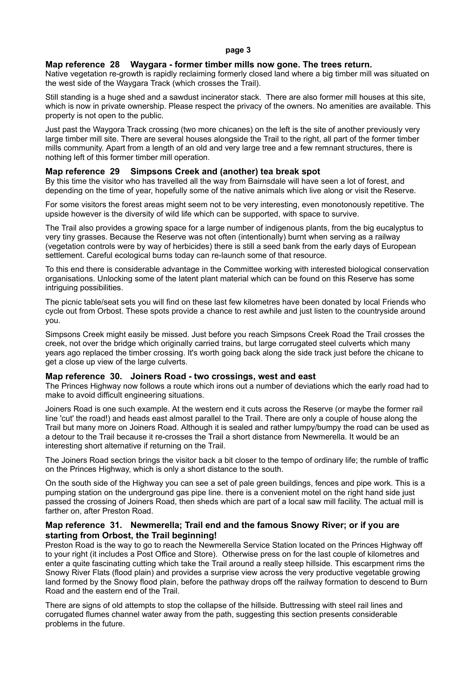#### **Map reference 28 Waygara - former timber mills now gone. The trees return.**

Native vegetation re-growth is rapidly reclaiming formerly closed land where a big timber mill was situated on the west side of the Waygara Track (which crosses the Trail).

Still standing is a huge shed and a sawdust incinerator stack. There are also former mill houses at this site, which is now in private ownership. Please respect the privacy of the owners. No amenities are available. This property is not open to the public.

Just past the Waygora Track crossing (two more chicanes) on the left is the site of another previously very large timber mill site. There are several houses alongside the Trail to the right, all part of the former timber mills community. Apart from a length of an old and very large tree and a few remnant structures, there is nothing left of this former timber mill operation.

## **Map reference 29 Simpsons Creek and (another) tea break spot**

By this time the visitor who has travelled all the way from Bairnsdale will have seen a lot of forest, and depending on the time of year, hopefully some of the native animals which live along or visit the Reserve.

For some visitors the forest areas might seem not to be very interesting, even monotonously repetitive. The upside however is the diversity of wild life which can be supported, with space to survive.

The Trail also provides a growing space for a large number of indigenous plants, from the big eucalyptus to very tiny grasses. Because the Reserve was not often (intentionally) burnt when serving as a railway (vegetation controls were by way of herbicides) there is still a seed bank from the early days of European settlement. Careful ecological burns today can re-launch some of that resource.

To this end there is considerable advantage in the Committee working with interested biological conservation organisations. Unlocking some of the latent plant material which can be found on this Reserve has some intriguing possibilities.

The picnic table/seat sets you will find on these last few kilometres have been donated by local Friends who cycle out from Orbost. These spots provide a chance to rest awhile and just listen to the countryside around you.

Simpsons Creek might easily be missed. Just before you reach Simpsons Creek Road the Trail crosses the creek, not over the bridge which originally carried trains, but large corrugated steel culverts which many years ago replaced the timber crossing. It's worth going back along the side track just before the chicane to get a close up view of the large culverts.

#### **Map reference 30. Joiners Road - two crossings, west and east**

The Princes Highway now follows a route which irons out a number of deviations which the early road had to make to avoid difficult engineering situations.

Joiners Road is one such example. At the western end it cuts across the Reserve (or maybe the former rail line 'cut' the road!) and heads east almost parallel to the Trail. There are only a couple of house along the Trail but many more on Joiners Road. Although it is sealed and rather lumpy/bumpy the road can be used as a detour to the Trail because it re-crosses the Trail a short distance from Newmerella. It would be an interesting short alternative if returning on the Trail.

The Joiners Road section brings the visitor back a bit closer to the tempo of ordinary life; the rumble of traffic on the Princes Highway, which is only a short distance to the south.

On the south side of the Highway you can see a set of pale green buildings, fences and pipe work. This is a pumping station on the underground gas pipe line. there is a convenient motel on the right hand side just passed the crossing of Joiners Road, then sheds which are part of a local saw mill facility. The actual mill is farther on, after Preston Road.

## **Map reference 31. Newmerella; Trail end and the famous Snowy River; or if you are starting from Orbost, the Trail beginning!**

Preston Road is the way to go to reach the Newmerella Service Station located on the Princes Highway off to your right (it includes a Post Office and Store). Otherwise press on for the last couple of kilometres and enter a quite fascinating cutting which take the Trail around a really steep hillside. This escarpment rims the Snowy River Flats (flood plain) and provides a surprise view across the very productive vegetable growing land formed by the Snowy flood plain, before the pathway drops off the railway formation to descend to Burn Road and the eastern end of the Trail.

There are signs of old attempts to stop the collapse of the hillside. Buttressing with steel rail lines and corrugated flumes channel water away from the path, suggesting this section presents considerable problems in the future.